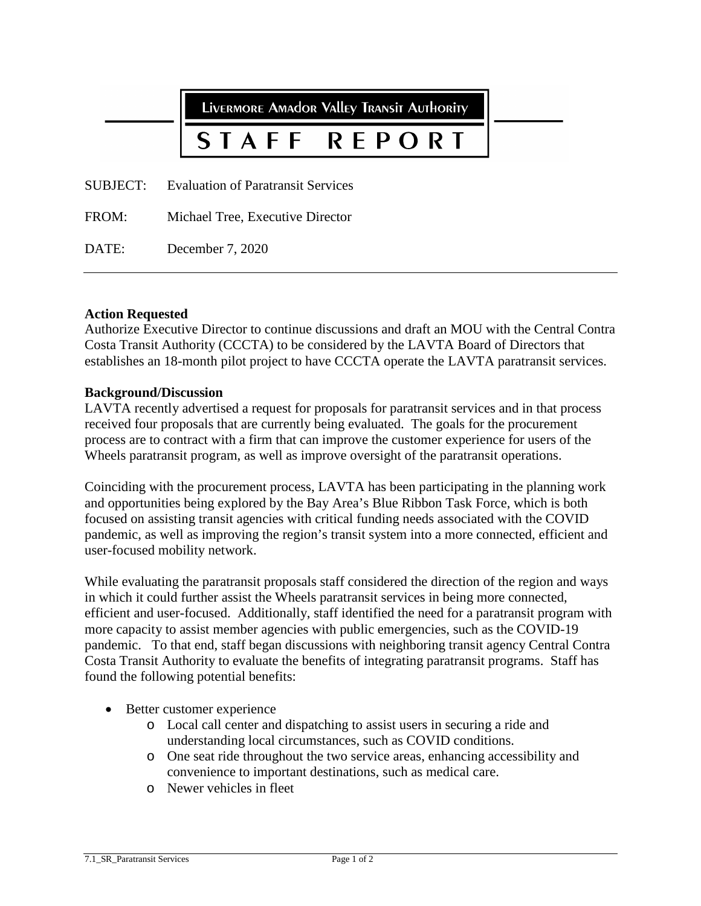**LIVERMORE AMADOR VALLEY TRANSIT AUTHORITY** 

## STAFF **RFPORT**

SUBJECT: Evaluation of Paratransit Services

FROM: Michael Tree, Executive Director

DATE: December 7, 2020

## **Action Requested**

Authorize Executive Director to continue discussions and draft an MOU with the Central Contra Costa Transit Authority (CCCTA) to be considered by the LAVTA Board of Directors that establishes an 18-month pilot project to have CCCTA operate the LAVTA paratransit services.

## **Background/Discussion**

LAVTA recently advertised a request for proposals for paratransit services and in that process received four proposals that are currently being evaluated. The goals for the procurement process are to contract with a firm that can improve the customer experience for users of the Wheels paratransit program, as well as improve oversight of the paratransit operations.

Coinciding with the procurement process, LAVTA has been participating in the planning work and opportunities being explored by the Bay Area's Blue Ribbon Task Force, which is both focused on assisting transit agencies with critical funding needs associated with the COVID pandemic, as well as improving the region's transit system into a more connected, efficient and user-focused mobility network.

While evaluating the paratransit proposals staff considered the direction of the region and ways in which it could further assist the Wheels paratransit services in being more connected, efficient and user-focused. Additionally, staff identified the need for a paratransit program with more capacity to assist member agencies with public emergencies, such as the COVID-19 pandemic. To that end, staff began discussions with neighboring transit agency Central Contra Costa Transit Authority to evaluate the benefits of integrating paratransit programs. Staff has found the following potential benefits:

- Better customer experience
	- o Local call center and dispatching to assist users in securing a ride and understanding local circumstances, such as COVID conditions.
	- o One seat ride throughout the two service areas, enhancing accessibility and convenience to important destinations, such as medical care.
	- o Newer vehicles in fleet